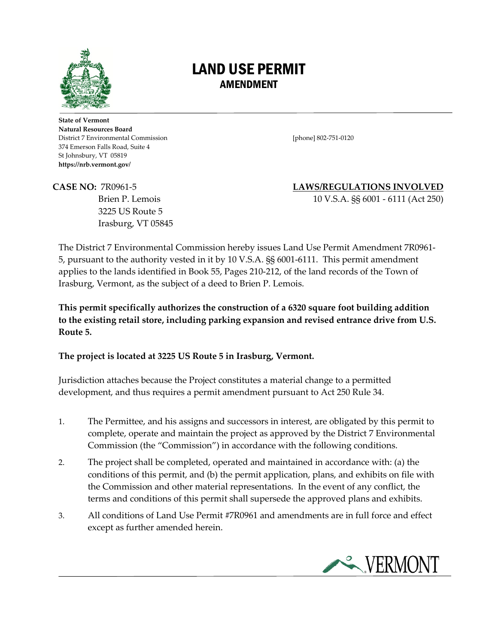

## LAND USE PERMIT AMENDMENT

**State of Vermont Natural Resources Board** District 7 Environmental Commission [phone] 802-751-0120 374 Emerson Falls Road, Suite 4 St Johnsbury, VT 05819 **https://nrb.vermont.gov/**

3225 US Route 5 Irasburg, VT 05845

**CASE NO:** 7R0961-5 **LAWS/REGULATIONS INVOLVED**

Brien P. Lemois 10 V.S.A. §§ 6001 - 6111 (Act 250)

The District 7 Environmental Commission hereby issues Land Use Permit Amendment 7R0961- 5, pursuant to the authority vested in it by 10 V.S.A. §§ 6001-6111. This permit amendment applies to the lands identified in Book 55, Pages 210-212, of the land records of the Town of Irasburg, Vermont, as the subject of a deed to Brien P. Lemois.

**This permit specifically authorizes the construction of a 6320 square foot building addition to the existing retail store, including parking expansion and revised entrance drive from U.S. Route 5.** 

## **The project is located at 3225 US Route 5 in Irasburg, Vermont.**

Jurisdiction attaches because the Project constitutes a material change to a permitted development, and thus requires a permit amendment pursuant to Act 250 Rule 34.

- 1. The Permittee, and his assigns and successors in interest, are obligated by this permit to complete, operate and maintain the project as approved by the District 7 Environmental Commission (the "Commission") in accordance with the following conditions.
- 2. The project shall be completed, operated and maintained in accordance with: (a) the conditions of this permit, and (b) the permit application, plans, and exhibits on file with the Commission and other material representations. In the event of any conflict, the terms and conditions of this permit shall supersede the approved plans and exhibits.
- 3. All conditions of Land Use Permit #7R0961 and amendments are in full force and effect except as further amended herein.

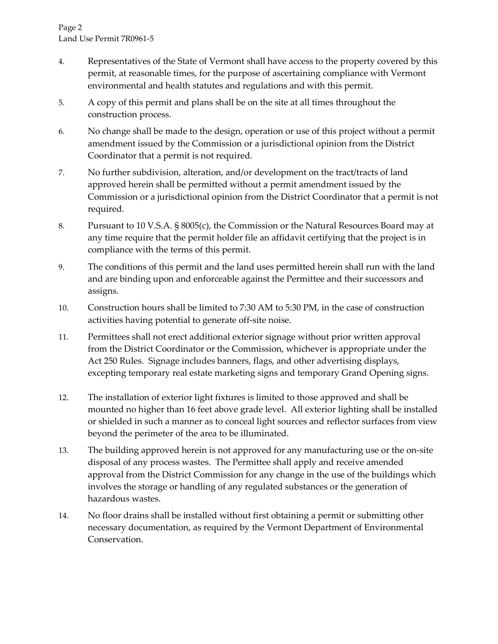- 4. Representatives of the State of Vermont shall have access to the property covered by this permit, at reasonable times, for the purpose of ascertaining compliance with Vermont environmental and health statutes and regulations and with this permit.
- 5. A copy of this permit and plans shall be on the site at all times throughout the construction process.
- 6. No change shall be made to the design, operation or use of this project without a permit amendment issued by the Commission or a jurisdictional opinion from the District Coordinator that a permit is not required.
- 7. No further subdivision, alteration, and/or development on the tract/tracts of land approved herein shall be permitted without a permit amendment issued by the Commission or a jurisdictional opinion from the District Coordinator that a permit is not required.
- 8. Pursuant to 10 V.S.A. § 8005(c), the Commission or the Natural Resources Board may at any time require that the permit holder file an affidavit certifying that the project is in compliance with the terms of this permit.
- 9. The conditions of this permit and the land uses permitted herein shall run with the land and are binding upon and enforceable against the Permittee and their successors and assigns.
- 10. Construction hours shall be limited to 7:30 AM to 5:30 PM, in the case of construction activities having potential to generate off-site noise.
- 11. Permittees shall not erect additional exterior signage without prior written approval from the District Coordinator or the Commission, whichever is appropriate under the Act 250 Rules. Signage includes banners, flags, and other advertising displays, excepting temporary real estate marketing signs and temporary Grand Opening signs.
- 12. The installation of exterior light fixtures is limited to those approved and shall be mounted no higher than 16 feet above grade level. All exterior lighting shall be installed or shielded in such a manner as to conceal light sources and reflector surfaces from view beyond the perimeter of the area to be illuminated.
- 13. The building approved herein is not approved for any manufacturing use or the on-site disposal of any process wastes. The Permittee shall apply and receive amended approval from the District Commission for any change in the use of the buildings which involves the storage or handling of any regulated substances or the generation of hazardous wastes.
- 14. No floor drains shall be installed without first obtaining a permit or submitting other necessary documentation, as required by the Vermont Department of Environmental Conservation.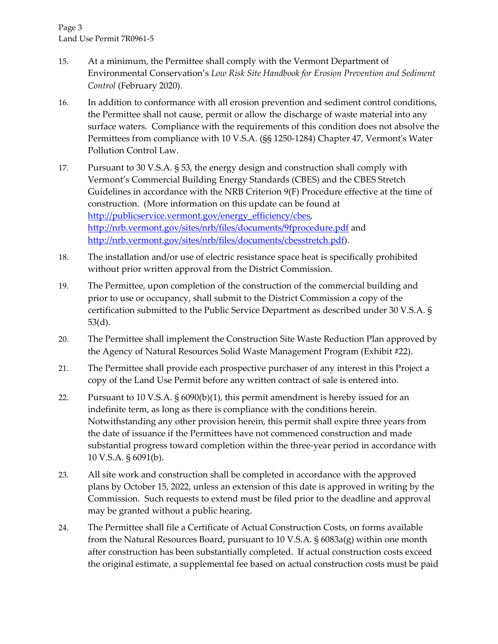- 15. At a minimum, the Permittee shall comply with the Vermont Department of Environmental Conservation's *Low Risk Site Handbook for Erosion Prevention and Sediment Control* (February 2020).
- 16. In addition to conformance with all erosion prevention and sediment control conditions, the Permittee shall not cause, permit or allow the discharge of waste material into any surface waters. Compliance with the requirements of this condition does not absolve the Permittees from compliance with 10 V.S.A. (§§ 1250-1284) Chapter 47, Vermont's Water Pollution Control Law.
- 17. Pursuant to 30 V.S.A. § 53, the energy design and construction shall comply with Vermont's Commercial Building Energy Standards (CBES) and the CBES Stretch Guidelines in accordance with the NRB Criterion 9(F) Procedure effective at the time of construction. (More information on this update can be found at [http://publicservice.vermont.gov/energy\\_efficiency/cbes,](http://publicservice.vermont.gov/energy_efficiency/cbes) <http://nrb.vermont.gov/sites/nrb/files/documents/9fprocedure.pdf> and [http://nrb.vermont.gov/sites/nrb/files/documents/cbesstretch.pdf\)](http://nrb.vermont.gov/sites/nrb/files/documents/cbesstretch.pdf).
- 18. The installation and/or use of electric resistance space heat is specifically prohibited without prior written approval from the District Commission.
- 19. The Permittee, upon completion of the construction of the commercial building and prior to use or occupancy, shall submit to the District Commission a copy of the certification submitted to the Public Service Department as described under 30 V.S.A. § 53(d).
- 20. The Permittee shall implement the Construction Site Waste Reduction Plan approved by the Agency of Natural Resources Solid Waste Management Program (Exhibit #22).
- 21. The Permittee shall provide each prospective purchaser of any interest in this Project a copy of the Land Use Permit before any written contract of sale is entered into.
- 22. Pursuant to 10 V.S.A. § 6090(b)(1), this permit amendment is hereby issued for an indefinite term, as long as there is compliance with the conditions herein. Notwithstanding any other provision herein, this permit shall expire three years from the date of issuance if the Permittees have not commenced construction and made substantial progress toward completion within the three-year period in accordance with 10 V.S.A. § 6091(b).
- 23. All site work and construction shall be completed in accordance with the approved plans by October 15, 2022, unless an extension of this date is approved in writing by the Commission. Such requests to extend must be filed prior to the deadline and approval may be granted without a public hearing.
- 24. The Permittee shall file a Certificate of Actual Construction Costs, on forms available from the Natural Resources Board, pursuant to 10 V.S.A. § 6083a(g) within one month after construction has been substantially completed. If actual construction costs exceed the original estimate, a supplemental fee based on actual construction costs must be paid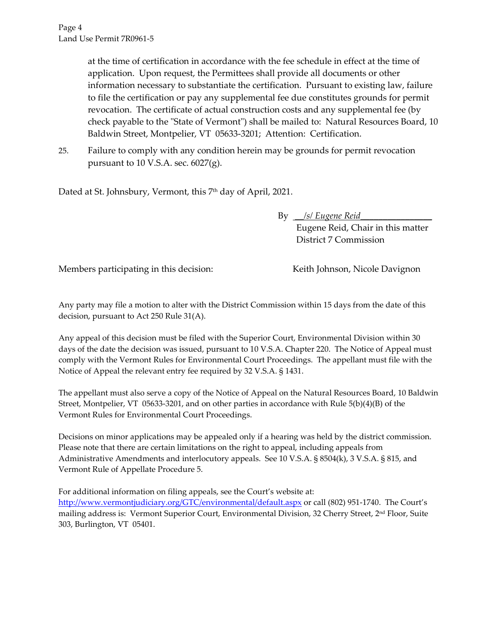at the time of certification in accordance with the fee schedule in effect at the time of application. Upon request, the Permittees shall provide all documents or other information necessary to substantiate the certification. Pursuant to existing law, failure to file the certification or pay any supplemental fee due constitutes grounds for permit revocation. The certificate of actual construction costs and any supplemental fee (by check payable to the "State of Vermont") shall be mailed to: Natural Resources Board, 10 Baldwin Street, Montpelier, VT 05633-3201; Attention: Certification.

25. Failure to comply with any condition herein may be grounds for permit revocation pursuant to 10 V.S.A. sec. 6027(g).

Dated at St. Johnsbury, Vermont, this 7<sup>th</sup> day of April, 2021.

By *\_\_/s/ Eugene Reid\_\_\_\_\_\_\_\_\_\_\_\_\_\_\_\_*  Eugene Reid, Chair in this matter District 7 Commission

Members participating in this decision: Keith Johnson, Nicole Davignon

Any party may file a motion to alter with the District Commission within 15 days from the date of this decision, pursuant to Act 250 Rule 31(A).

Any appeal of this decision must be filed with the Superior Court, Environmental Division within 30 days of the date the decision was issued, pursuant to 10 V.S.A. Chapter 220. The Notice of Appeal must comply with the Vermont Rules for Environmental Court Proceedings. The appellant must file with the Notice of Appeal the relevant entry fee required by 32 V.S.A. § 1431.

The appellant must also serve a copy of the Notice of Appeal on the Natural Resources Board, 10 Baldwin Street, Montpelier, VT 05633-3201, and on other parties in accordance with Rule 5(b)(4)(B) of the Vermont Rules for Environmental Court Proceedings.

Decisions on minor applications may be appealed only if a hearing was held by the district commission. Please note that there are certain limitations on the right to appeal, including appeals from Administrative Amendments and interlocutory appeals. See 10 V.S.A. § 8504(k), 3 V.S.A. § 815, and Vermont Rule of Appellate Procedure 5.

For additional information on filing appeals, see the Court's website at: <http://www.vermontjudiciary.org/GTC/environmental/default.aspx> or call (802) 951-1740. The Court's mailing address is: Vermont Superior Court, Environmental Division, 32 Cherry Street, 2nd Floor, Suite 303, Burlington, VT 05401.